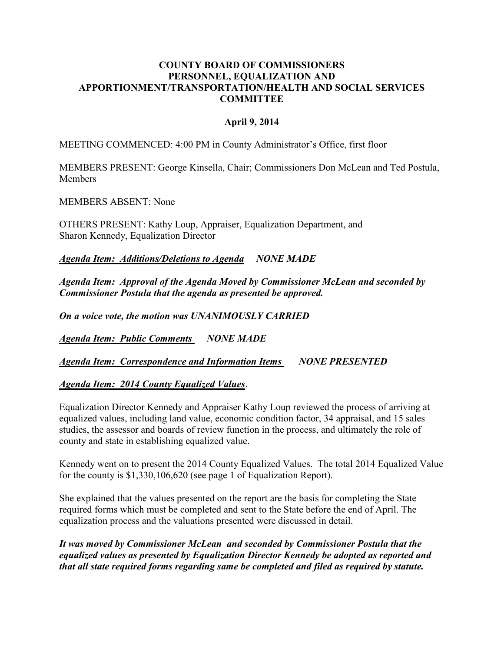#### **COUNTY BOARD OF COMMISSIONERS PERSONNEL, EQUALIZATION AND APPORTIONMENT/TRANSPORTATION/HEALTH AND SOCIAL SERVICES COMMITTEE**

### **April 9, 2014**

MEETING COMMENCED: 4:00 PM in County Administrator's Office, first floor

MEMBERS PRESENT: George Kinsella, Chair; Commissioners Don McLean and Ted Postula, **Members** 

MEMBERS ABSENT: None

OTHERS PRESENT: Kathy Loup, Appraiser, Equalization Department, and Sharon Kennedy, Equalization Director

*Agenda Item: Additions/Deletions to Agenda NONE MADE*

*Agenda Item: Approval of the Agenda Moved by Commissioner McLean and seconded by Commissioner Postula that the agenda as presented be approved.* 

*On a voice vote, the motion was UNANIMOUSLY CARRIED*

*Agenda Item: Public Comments NONE MADE*

*Agenda Item: Correspondence and Information Items NONE PRESENTED*

#### *Agenda Item: 2014 County Equalized Values*.

Equalization Director Kennedy and Appraiser Kathy Loup reviewed the process of arriving at equalized values, including land value, economic condition factor, 34 appraisal, and 15 sales studies, the assessor and boards of review function in the process, and ultimately the role of county and state in establishing equalized value.

Kennedy went on to present the 2014 County Equalized Values. The total 2014 Equalized Value for the county is \$1,330,106,620 (see page 1 of Equalization Report).

She explained that the values presented on the report are the basis for completing the State required forms which must be completed and sent to the State before the end of April. The equalization process and the valuations presented were discussed in detail.

*It was moved by Commissioner McLean and seconded by Commissioner Postula that the equalized values as presented by Equalization Director Kennedy be adopted as reported and that all state required forms regarding same be completed and filed as required by statute.*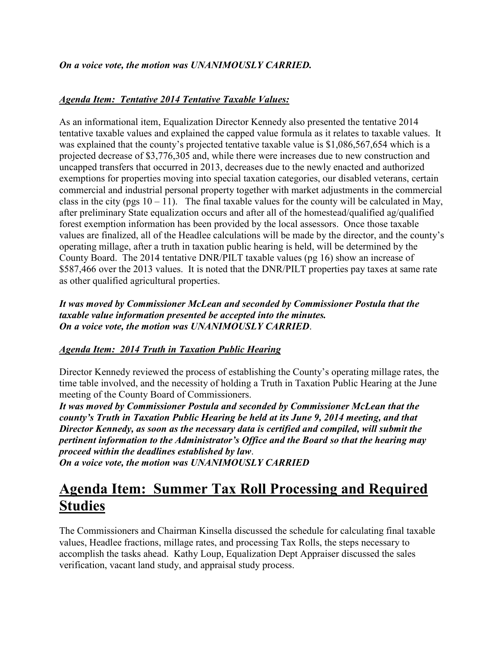## *Agenda Item: Tentative 2014 Tentative Taxable Values:*

As an informational item, Equalization Director Kennedy also presented the tentative 2014 tentative taxable values and explained the capped value formula as it relates to taxable values. It was explained that the county's projected tentative taxable value is \$1,086,567,654 which is a projected decrease of \$3,776,305 and, while there were increases due to new construction and uncapped transfers that occurred in 2013, decreases due to the newly enacted and authorized exemptions for properties moving into special taxation categories, our disabled veterans, certain commercial and industrial personal property together with market adjustments in the commercial class in the city (pgs  $10 - 11$ ). The final taxable values for the county will be calculated in May, after preliminary State equalization occurs and after all of the homestead/qualified ag/qualified forest exemption information has been provided by the local assessors. Once those taxable values are finalized, all of the Headlee calculations will be made by the director, and the county's operating millage, after a truth in taxation public hearing is held, will be determined by the County Board. The 2014 tentative DNR/PILT taxable values (pg 16) show an increase of \$587,466 over the 2013 values. It is noted that the DNR/PILT properties pay taxes at same rate as other qualified agricultural properties.

*It was moved by Commissioner McLean and seconded by Commissioner Postula that the taxable value information presented be accepted into the minutes. On a voice vote, the motion was UNANIMOUSLY CARRIED*.

## *Agenda Item: 2014 Truth in Taxation Public Hearing*

Director Kennedy reviewed the process of establishing the County's operating millage rates, the time table involved, and the necessity of holding a Truth in Taxation Public Hearing at the June meeting of the County Board of Commissioners.

*It was moved by Commissioner Postula and seconded by Commissioner McLean that the county's Truth in Taxation Public Hearing be held at its June 9, 2014 meeting, and that Director Kennedy, as soon as the necessary data is certified and compiled, will submit the pertinent information to the Administrator's Office and the Board so that the hearing may proceed within the deadlines established by law*. *On a voice vote, the motion was UNANIMOUSLY CARRIED*

# **Agenda Item: Summer Tax Roll Processing and Required Studies**

The Commissioners and Chairman Kinsella discussed the schedule for calculating final taxable values, Headlee fractions, millage rates, and processing Tax Rolls, the steps necessary to accomplish the tasks ahead. Kathy Loup, Equalization Dept Appraiser discussed the sales verification, vacant land study, and appraisal study process.